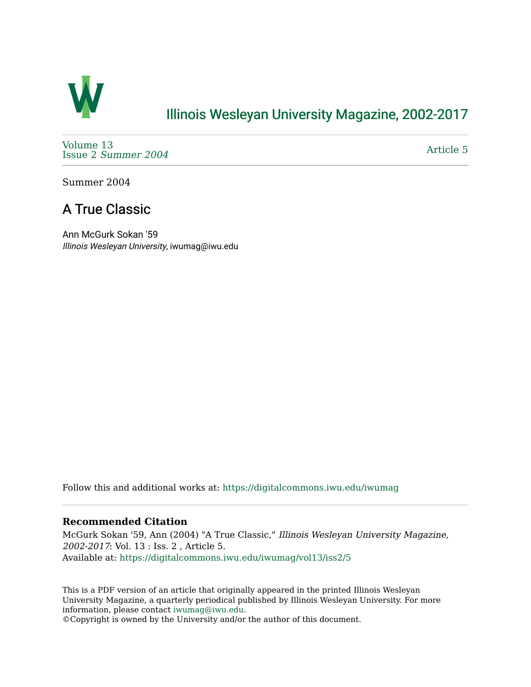

## [Illinois Wesleyan University Magazine, 2002-2017](https://digitalcommons.iwu.edu/iwumag)

[Volume 13](https://digitalcommons.iwu.edu/iwumag/vol13)  Issue 2 [Summer 2004](https://digitalcommons.iwu.edu/iwumag/vol13/iss2) 

[Article 5](https://digitalcommons.iwu.edu/iwumag/vol13/iss2/5) 

Summer 2004

# A True Classic

Ann McGurk Sokan '59 Illinois Wesleyan University, iwumag@iwu.edu

Follow this and additional works at: [https://digitalcommons.iwu.edu/iwumag](https://digitalcommons.iwu.edu/iwumag?utm_source=digitalcommons.iwu.edu%2Fiwumag%2Fvol13%2Fiss2%2F5&utm_medium=PDF&utm_campaign=PDFCoverPages) 

#### **Recommended Citation**

McGurk Sokan '59, Ann (2004) "A True Classic," Illinois Wesleyan University Magazine, 2002-2017: Vol. 13 : Iss. 2 , Article 5. Available at: [https://digitalcommons.iwu.edu/iwumag/vol13/iss2/5](https://digitalcommons.iwu.edu/iwumag/vol13/iss2/5?utm_source=digitalcommons.iwu.edu%2Fiwumag%2Fvol13%2Fiss2%2F5&utm_medium=PDF&utm_campaign=PDFCoverPages)

This is a PDF version of an article that originally appeared in the printed Illinois Wesleyan University Magazine, a quarterly periodical published by Illinois Wesleyan University. For more information, please contact [iwumag@iwu.edu](mailto:iwumag@iwu.edu).

©Copyright is owned by the University and/or the author of this document.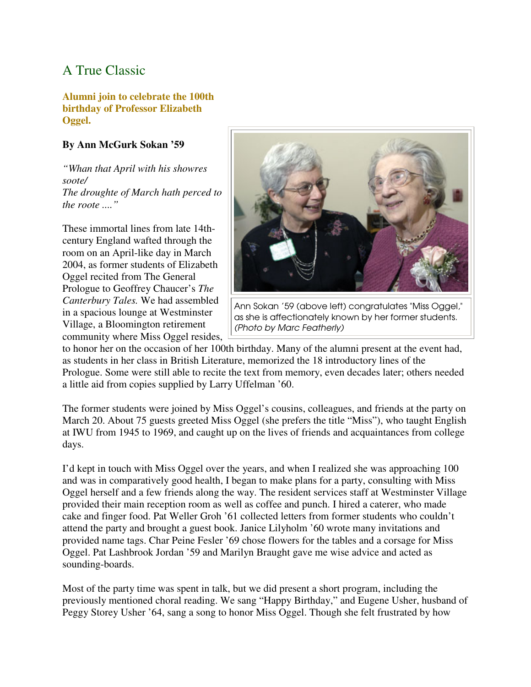## A True Classic

#### **Alumni join to celebrate the 100th birthday of Professor Elizabeth Oggel.**

### **By Ann McGurk Sokan '59**

*"Whan that April with his showres soote/ The droughte of March hath perced to the roote ...."*

These immortal lines from late 14thcentury England wafted through the room on an April-like day in March 2004, as former students of Elizabeth Oggel recited from The General Prologue to Geoffrey Chaucer's *The Canterbury Tales.* We had assembled in a spacious lounge at Westminster Village, a Bloomington retirement community where Miss Oggel resides,



Ann Sokan '59 (above left) conaratulates "Miss Oggel," as she is affectionately known by her former students. (Photo by Marc Featherly)

to honor her on the occasion of her 100th birthday. Many of the alumni present at the event had, as students in her class in British Literature, memorized the 18 introductory lines of the Prologue. Some were still able to recite the text from memory, even decades later; others needed a little aid from copies supplied by Larry Uffelman '60.

The former students were joined by Miss Oggel's cousins, colleagues, and friends at the party on March 20. About 75 guests greeted Miss Oggel (she prefers the title "Miss"), who taught English at IWU from 1945 to 1969, and caught up on the lives of friends and acquaintances from college days.

I'd kept in touch with Miss Oggel over the years, and when I realized she was approaching 100 and was in comparatively good health, I began to make plans for a party, consulting with Miss Oggel herself and a few friends along the way. The resident services staff at Westminster Village provided their main reception room as well as coffee and punch. I hired a caterer, who made cake and finger food. Pat Weller Groh '61 collected letters from former students who couldn't attend the party and brought a guest book. Janice Lilyholm '60 wrote many invitations and provided name tags. Char Peine Fesler '69 chose flowers for the tables and a corsage for Miss Oggel. Pat Lashbrook Jordan '59 and Marilyn Braught gave me wise advice and acted as sounding-boards.

Most of the party time was spent in talk, but we did present a short program, including the previously mentioned choral reading. We sang "Happy Birthday," and Eugene Usher, husband of Peggy Storey Usher '64, sang a song to honor Miss Oggel. Though she felt frustrated by how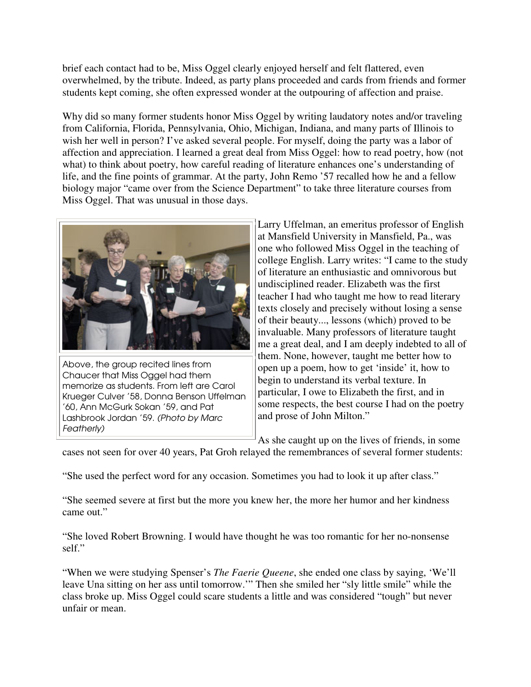brief each contact had to be, Miss Oggel clearly enjoyed herself and felt flattered, even overwhelmed, by the tribute. Indeed, as party plans proceeded and cards from friends and former students kept coming, she often expressed wonder at the outpouring of affection and praise.

Why did so many former students honor Miss Oggel by writing laudatory notes and/or traveling from California, Florida, Pennsylvania, Ohio, Michigan, Indiana, and many parts of Illinois to wish her well in person? I've asked several people. For myself, doing the party was a labor of affection and appreciation. I learned a great deal from Miss Oggel: how to read poetry, how (not what) to think about poetry, how careful reading of literature enhances one's understanding of life, and the fine points of grammar. At the party, John Remo '57 recalled how he and a fellow biology major "came over from the Science Department" to take three literature courses from Miss Oggel. That was unusual in those days.



Above, the group recited lines from Chaucer that Miss Oggel had them memorize as students. From left are Carol Krueger Culver '58, Donna Benson Uffelman '60, Ann McGurk Sokan '59, and Pat Lashbrook Jordan '59. (Photo by Marc Featherly)

Larry Uffelman, an emeritus professor of English at Mansfield University in Mansfield, Pa., was one who followed Miss Oggel in the teaching of college English. Larry writes: "I came to the study of literature an enthusiastic and omnivorous but undisciplined reader. Elizabeth was the first teacher I had who taught me how to read literary texts closely and precisely without losing a sense of their beauty..., lessons (which) proved to be invaluable. Many professors of literature taught me a great deal, and I am deeply indebted to all of them. None, however, taught me better how to open up a poem, how to get 'inside' it, how to begin to understand its verbal texture. In particular, I owe to Elizabeth the first, and in some respects, the best course I had on the poetry and prose of John Milton."

As she caught up on the lives of friends, in some

cases not seen for over 40 years, Pat Groh relayed the remembrances of several former students:

"She used the perfect word for any occasion. Sometimes you had to look it up after class."

"She seemed severe at first but the more you knew her, the more her humor and her kindness came out."

"She loved Robert Browning. I would have thought he was too romantic for her no-nonsense self."

"When we were studying Spenser's *The Faerie Queene*, she ended one class by saying, 'We'll leave Una sitting on her ass until tomorrow.'" Then she smiled her "sly little smile" while the class broke up. Miss Oggel could scare students a little and was considered "tough" but never unfair or mean.